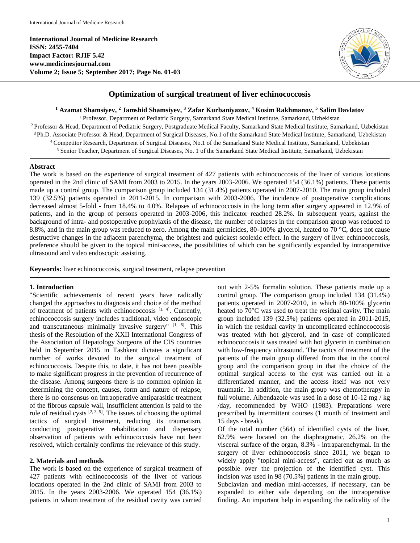**International Journal of Medicine Research ISSN: 2455-7404 Impact Factor: RJIF 5.42 www.medicinesjournal.com Volume 2; Issue 5; September 2017; Page No. 01-03**



# **Optimization of surgical treatment of liver echinococcosis**

**<sup>1</sup> Azamat Shamsiyev, <sup>2</sup> Jamshid Shamsiyev, <sup>3</sup> Zafar Kurbaniyazov, <sup>4</sup> Kosim Rakhmanov, <sup>5</sup> Salim Davlatov**

<sup>1</sup> Professor, Department of Pediatric Surgery, Samarkand State Medical Institute, Samarkand, Uzbekistan

<sup>2</sup> Professor & Head, Department of Pediatric Surgery, Postgraduate Medical Faculty, Samarkand State Medical Institute, Samarkand, Uzbekistan Ph.D. Associate Professor & Head, Department of Surgical Diseases, No.1 of the Samarkand State Medical Institute, Samarkand, Uzbekistan Competitor Research, Department of Surgical Diseases, No.1 of the Samarkand State Medical Institute, Samarkand, Uzbekistan Senior Teacher, Department of Surgical Diseases, No. 1 of the Samarkand State Medical Institute, Samarkand, Uzbekistan

#### **Abstract**

The work is based on the experience of surgical treatment of 427 patients with echinococcosis of the liver of various locations operated in the 2nd clinic of SAMI from 2003 to 2015. In the years 2003-2006. We operated 154 (36.1%) patients. These patients made up a control group. The comparison group included 134 (31.4%) patients operated in 2007-2010. The main group included 139 (32.5%) patients operated in 2011-2015. In comparison with 2003-2006. The incidence of postoperative complications decreased almost 5-fold - from 18.4% to 4.0%. Relapses of echinococcosis in the long term after surgery appeared in 12.9% of patients, and in the group of persons operated in 2003-2006, this indicator reached 28.2%. In subsequent years, against the background of intra- and postoperative prophylaxis of the disease, the number of relapses in the comparison group was reduced to 8.8%, and in the main group was reduced to zero. Among the main germicides, 80-100% glycerol, heated to 70 °C, does not cause destructive changes in the adjacent parenchyma, the brightest and quickest scolexic effect. In the surgery of liver echinococcosis, preference should be given to the topical mini-access, the possibilities of which can be significantly expanded by intraoperative ultrasound and video endoscopic assisting.

**Keywords:** liver echinococcosis, surgical treatment, relapse prevention

#### **1. Introduction**

"Scientific achievements of recent years have radically changed the approaches to diagnosis and choice of the method of treatment of patients with echinococcosis [1, 4]. Currently, echinococcosis surgery includes traditional, video endoscopic and transcutaneous minimally invasive surgery"  $[1, 6]$ . This thesis of the Resolution of the XXII International Congress of the Association of Hepatology Surgeons of the CIS countries held in September 2015 in Tashkent dictates a significant number of works devoted to the surgical treatment of echinococcosis. Despite this, to date, it has not been possible to make significant progress in the prevention of recurrence of the disease. Among surgeons there is no common opinion in determining the concept, causes, form and nature of relapse, there is no consensus on intraoperative antiparasitic treatment of the fibrous capsule wall, insufficient attention is paid to the role of residual cysts  $[2, 3, 5]$ . The issues of choosing the optimal tactics of surgical treatment, reducing its traumatism, conducting postoperative rehabilitation and dispensary observation of patients with echinococcosis have not been resolved, which certainly confirms the relevance of this study.

## **2. Materials and methods**

The work is based on the experience of surgical treatment of 427 patients with echinococcosis of the liver of various locations operated in the 2nd clinic of SAMI from 2003 to 2015. In the years 2003-2006. We operated 154 (36.1%) patients in whom treatment of the residual cavity was carried out with 2-5% formalin solution. These patients made up a control group. The comparison group included 134 (31.4%) patients operated in 2007-2010, in which 80-100% glycerin heated to 70°C was used to treat the residual cavity. The main group included 139 (32.5%) patients operated in 2011-2015, in which the residual cavity in uncomplicated echinococcosis was treated with hot glycerol, and in case of complicated echinococcosis it was treated with hot glycerin in combination with low-frequency ultrasound. The tactics of treatment of the patients of the main group differed from that in the control group and the comparison group in that the choice of the optimal surgical access to the cyst was carried out in a differentiated manner, and the access itself was not very traumatic. In addition, the main group was chemotherapy in full volume. Albendazole was used in a dose of 10-12 mg / kg /day, recommended by WHO (1983). Preparations were prescribed by intermittent courses (1 month of treatment and 15 days - break).

Of the total number (564) of identified cysts of the liver, 62.9% were located on the diaphragmatic, 26.2% on the visceral surface of the organ, 8.3% - intraparenchymal. In the surgery of liver echinococcosis since 2011, we began to widely apply "topical mini-access", carried out as much as possible over the projection of the identified cyst. This incision was used in 98 (70.5%) patients in the main group.

Subclavian and median mini-accesses, if necessary, can be expanded to either side depending on the intraoperative finding. An important help in expanding the radicality of the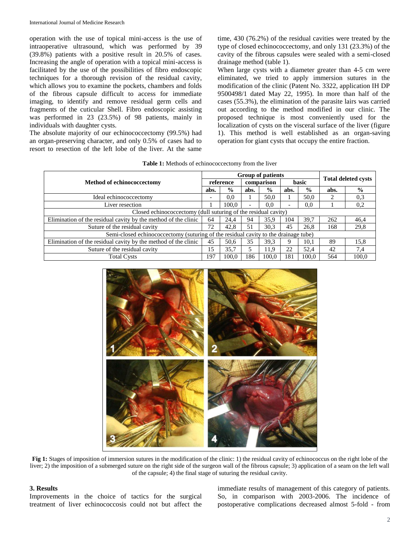operation with the use of topical mini-access is the use of intraoperative ultrasound, which was performed by 39 (39.8%) patients with a positive result in 20.5% of cases. Increasing the angle of operation with a topical mini-access is facilitated by the use of the possibilities of fibro endoscopic techniques for a thorough revision of the residual cavity, which allows you to examine the pockets, chambers and folds of the fibrous capsule difficult to access for immediate imaging, to identify and remove residual germ cells and fragments of the cuticular Shell. Fibro endoscopic assisting was performed in 23 (23.5%) of 98 patients, mainly in individuals with daughter cysts.

The absolute majority of our echinococcectomy (99.5%) had an organ-preserving character, and only 0.5% of cases had to resort to resection of the left lobe of the liver. At the same

time, 430 (76.2%) of the residual cavities were treated by the type of closed echinococcectomy, and only 131 (23.3%) of the cavity of the fibrous capsules were sealed with a semi-closed drainage method (table 1).

When large cysts with a diameter greater than 4-5 cm were eliminated, we tried to apply immersion sutures in the modification of the clinic (Patent No. 3322, application IH DP 9500498/1 dated May 22, 1995). In more than half of the cases (55.3%), the elimination of the parasite lairs was carried out according to the method modified in our clinic. The proposed technique is most conveniently used for the localization of cysts on the visceral surface of the liver (figure 1). This method is well established as an organ-saving operation for giant cysts that occupy the entire fraction.

| Table 1: Methods of echinococcectomy from the liver |  |  |
|-----------------------------------------------------|--|--|
|-----------------------------------------------------|--|--|

|                                                                                     |                          | <b>Group of patients</b> |            |               |       |               |                            |               |  |
|-------------------------------------------------------------------------------------|--------------------------|--------------------------|------------|---------------|-------|---------------|----------------------------|---------------|--|
| <b>Method of echinococcectomy</b>                                                   | reference                |                          | comparison |               | basic |               | <b>Total deleted cysts</b> |               |  |
|                                                                                     |                          | $\frac{0}{0}$            | abs.       | $\frac{0}{0}$ | abs.  | $\frac{0}{0}$ | abs.                       | $\frac{0}{0}$ |  |
| Ideal echinococcectomy                                                              | $\overline{\phantom{0}}$ | 0,0                      |            | 50,0          |       | 50.0          | 2                          | 0,3           |  |
| Liver resection                                                                     |                          | 100.0                    | ٠          | 0.0           | ۰     | 0.0           |                            | 0,2           |  |
| Closed echinococcectomy (dull suturing of the residual cavity)                      |                          |                          |            |               |       |               |                            |               |  |
| Elimination of the residual cavity by the method of the clinic                      | 64                       | 24.4                     | 94         | 35.9          | 104   | 39,7          | 262                        | 46,4          |  |
| Suture of the residual cavity                                                       | 72                       | 42.8                     | 51         | 30.3          | 45    | 26.8          | 168                        | 29,8          |  |
| Semi-closed echinococcectomy (suturing of the residual cavity to the drainage tube) |                          |                          |            |               |       |               |                            |               |  |
| Elimination of the residual cavity by the method of the clinic                      | 45                       | 50.6                     | 35         | 39.3          | 9     | 10.1          | 89                         | 15,8          |  |
| Suture of the residual cavity                                                       | 15                       | 35,7                     | 5          | 11,9          | 22    | 52.4          | 42                         | 7,4           |  |
| <b>Total Cysts</b>                                                                  | 197                      | 100.0                    | 186        | 100.0         | 181   | 100.0         | 564                        | 100.0         |  |



**Fig 1:** Stages of imposition of immersion sutures in the modification of the clinic: 1) the residual cavity of echinococcus on the right lobe of the liver; 2) the imposition of a submerged suture on the right side of the surgeon wall of the fibrous capsule; 3) application of a seam on the left wall of the capsule; 4) the final stage of suturing the residual cavity.

#### **3. Results**

Improvements in the choice of tactics for the surgical treatment of liver echinococcosis could not but affect the immediate results of management of this category of patients. So, in comparison with 2003-2006. The incidence of postoperative complications decreased almost 5-fold - from